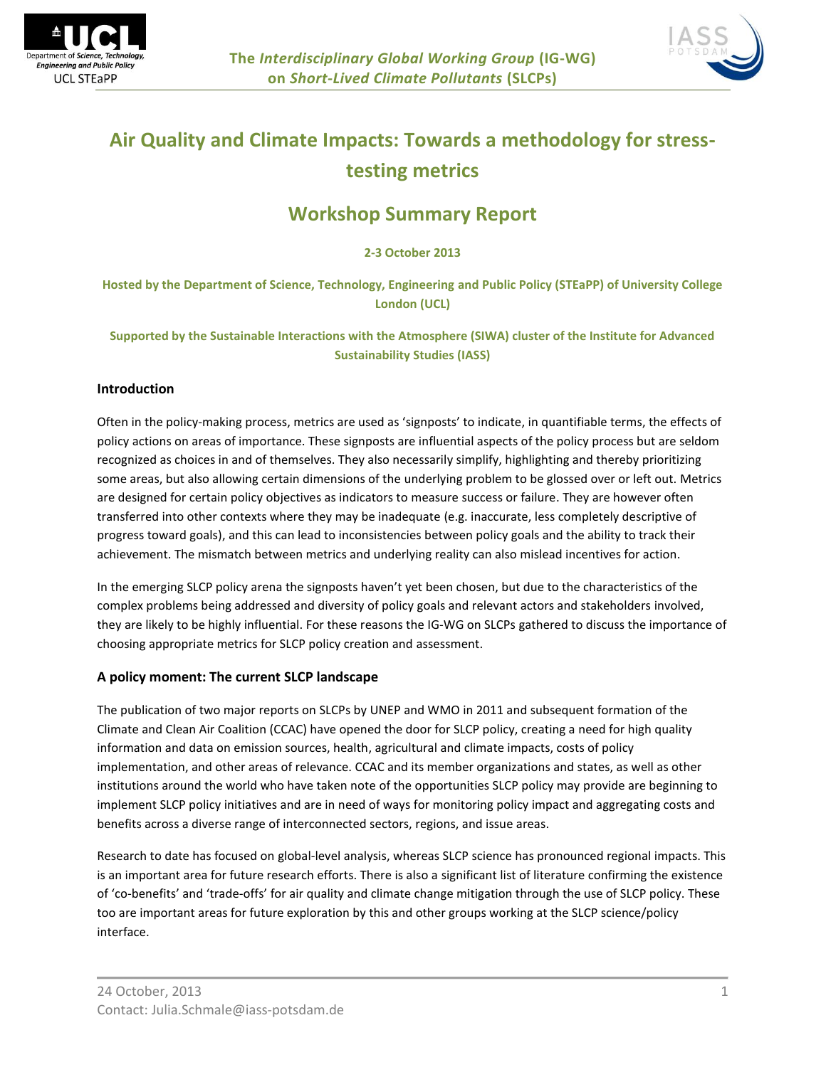



# **Air Quality and Climate Impacts: Towards a methodology for stresstesting metrics**

# **Workshop Summary Report**

**2-3 October 2013**

**Hosted by the Department of Science, Technology, Engineering and Public Policy (STEaPP) of University College London (UCL)**

**Supported by the Sustainable Interactions with the Atmosphere (SIWA) cluster of the Institute for Advanced Sustainability Studies (IASS)**

# **Introduction**

Often in the policy-making process, metrics are used as 'signposts' to indicate, in quantifiable terms, the effects of policy actions on areas of importance. These signposts are influential aspects of the policy process but are seldom recognized as choices in and of themselves. They also necessarily simplify, highlighting and thereby prioritizing some areas, but also allowing certain dimensions of the underlying problem to be glossed over or left out. Metrics are designed for certain policy objectives as indicators to measure success or failure. They are however often transferred into other contexts where they may be inadequate (e.g. inaccurate, less completely descriptive of progress toward goals), and this can lead to inconsistencies between policy goals and the ability to track their achievement. The mismatch between metrics and underlying reality can also mislead incentives for action.

In the emerging SLCP policy arena the signposts haven't yet been chosen, but due to the characteristics of the complex problems being addressed and diversity of policy goals and relevant actors and stakeholders involved, they are likely to be highly influential. For these reasons the IG-WG on SLCPs gathered to discuss the importance of choosing appropriate metrics for SLCP policy creation and assessment.

# **A policy moment: The current SLCP landscape**

The publication of two major reports on SLCPs by UNEP and WMO in 2011 and subsequent formation of the Climate and Clean Air Coalition (CCAC) have opened the door for SLCP policy, creating a need for high quality information and data on emission sources, health, agricultural and climate impacts, costs of policy implementation, and other areas of relevance. CCAC and its member organizations and states, as well as other institutions around the world who have taken note of the opportunities SLCP policy may provide are beginning to implement SLCP policy initiatives and are in need of ways for monitoring policy impact and aggregating costs and benefits across a diverse range of interconnected sectors, regions, and issue areas.

Research to date has focused on global-level analysis, whereas SLCP science has pronounced regional impacts. This is an important area for future research efforts. There is also a significant list of literature confirming the existence of 'co-benefits' and 'trade-offs' for air quality and climate change mitigation through the use of SLCP policy. These too are important areas for future exploration by this and other groups working at the SLCP science/policy interface.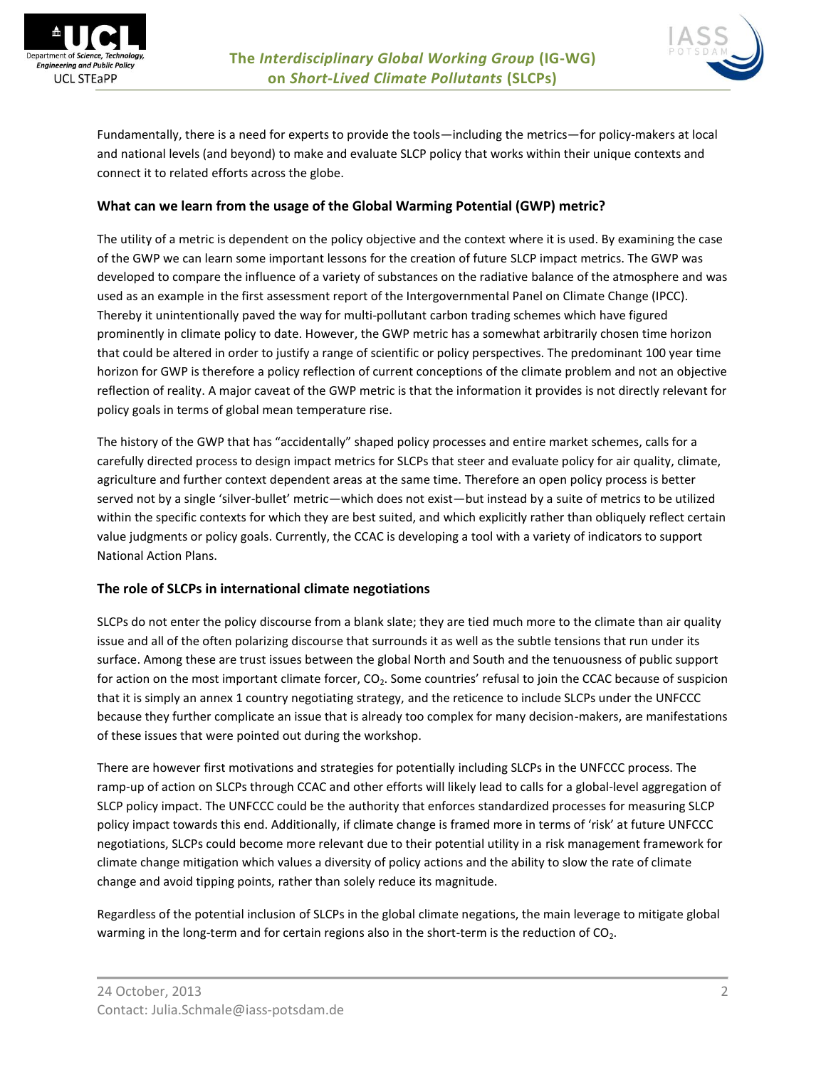



Fundamentally, there is a need for experts to provide the tools—including the metrics—for policy-makers at local and national levels (and beyond) to make and evaluate SLCP policy that works within their unique contexts and connect it to related efforts across the globe.

#### **What can we learn from the usage of the Global Warming Potential (GWP) metric?**

The utility of a metric is dependent on the policy objective and the context where it is used. By examining the case of the GWP we can learn some important lessons for the creation of future SLCP impact metrics. The GWP was developed to compare the influence of a variety of substances on the radiative balance of the atmosphere and was used as an example in the first assessment report of the Intergovernmental Panel on Climate Change (IPCC). Thereby it unintentionally paved the way for multi-pollutant carbon trading schemes which have figured prominently in climate policy to date. However, the GWP metric has a somewhat arbitrarily chosen time horizon that could be altered in order to justify a range of scientific or policy perspectives. The predominant 100 year time horizon for GWP is therefore a policy reflection of current conceptions of the climate problem and not an objective reflection of reality. A major caveat of the GWP metric is that the information it provides is not directly relevant for policy goals in terms of global mean temperature rise.

The history of the GWP that has "accidentally" shaped policy processes and entire market schemes, calls for a carefully directed process to design impact metrics for SLCPs that steer and evaluate policy for air quality, climate, agriculture and further context dependent areas at the same time. Therefore an open policy process is better served not by a single 'silver-bullet' metric—which does not exist—but instead by a suite of metrics to be utilized within the specific contexts for which they are best suited, and which explicitly rather than obliquely reflect certain value judgments or policy goals. Currently, the CCAC is developing a tool with a variety of indicators to support National Action Plans.

# **The role of SLCPs in international climate negotiations**

SLCPs do not enter the policy discourse from a blank slate; they are tied much more to the climate than air quality issue and all of the often polarizing discourse that surrounds it as well as the subtle tensions that run under its surface. Among these are trust issues between the global North and South and the tenuousness of public support for action on the most important climate forcer,  $CO<sub>2</sub>$ . Some countries' refusal to join the CCAC because of suspicion that it is simply an annex 1 country negotiating strategy, and the reticence to include SLCPs under the UNFCCC because they further complicate an issue that is already too complex for many decision-makers, are manifestations of these issues that were pointed out during the workshop.

There are however first motivations and strategies for potentially including SLCPs in the UNFCCC process. The ramp-up of action on SLCPs through CCAC and other efforts will likely lead to calls for a global-level aggregation of SLCP policy impact. The UNFCCC could be the authority that enforces standardized processes for measuring SLCP policy impact towards this end. Additionally, if climate change is framed more in terms of 'risk' at future UNFCCC negotiations, SLCPs could become more relevant due to their potential utility in a risk management framework for climate change mitigation which values a diversity of policy actions and the ability to slow the rate of climate change and avoid tipping points, rather than solely reduce its magnitude.

Regardless of the potential inclusion of SLCPs in the global climate negations, the main leverage to mitigate global warming in the long-term and for certain regions also in the short-term is the reduction of  $CO<sub>2</sub>$ .